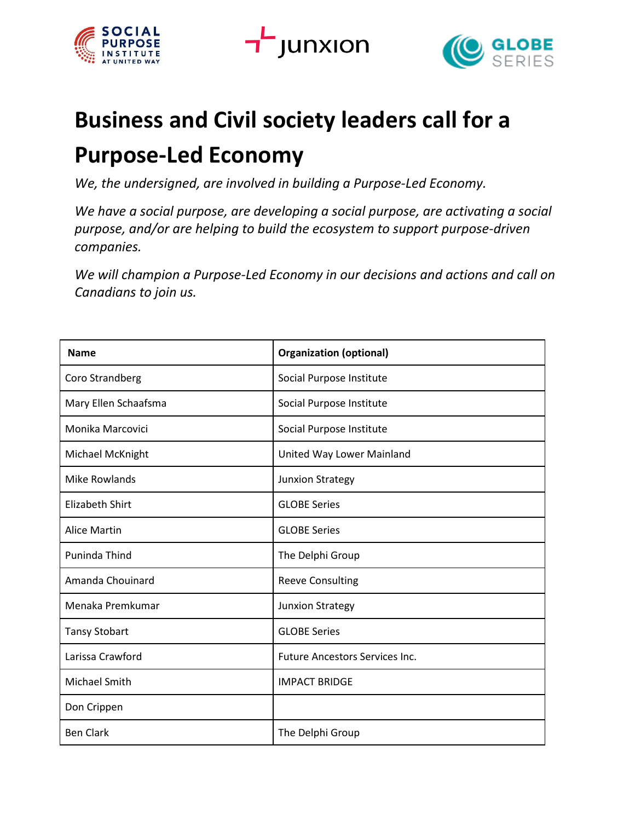



## **Business and Civil society leaders call for a Purpose-Led Economy**

*We, the undersigned, are involved in building a Purpose-Led Economy.*

*We have a social purpose, are developing a social purpose, are activating a social purpose, and/or are helping to build the ecosystem to support purpose-driven companies.* 

*We will champion a Purpose-Led Economy in our decisions and actions and call on Canadians to join us.*

| <b>Name</b>            | <b>Organization (optional)</b>        |
|------------------------|---------------------------------------|
| Coro Strandberg        | Social Purpose Institute              |
| Mary Ellen Schaafsma   | Social Purpose Institute              |
| Monika Marcovici       | Social Purpose Institute              |
| Michael McKnight       | United Way Lower Mainland             |
| <b>Mike Rowlands</b>   | <b>Junxion Strategy</b>               |
| <b>Elizabeth Shirt</b> | <b>GLOBE Series</b>                   |
| <b>Alice Martin</b>    | <b>GLOBE Series</b>                   |
| Puninda Thind          | The Delphi Group                      |
| Amanda Chouinard       | <b>Reeve Consulting</b>               |
| Menaka Premkumar       | <b>Junxion Strategy</b>               |
| <b>Tansy Stobart</b>   | <b>GLOBE Series</b>                   |
| Larissa Crawford       | <b>Future Ancestors Services Inc.</b> |
| Michael Smith          | <b>IMPACT BRIDGE</b>                  |
| Don Crippen            |                                       |
| <b>Ben Clark</b>       | The Delphi Group                      |